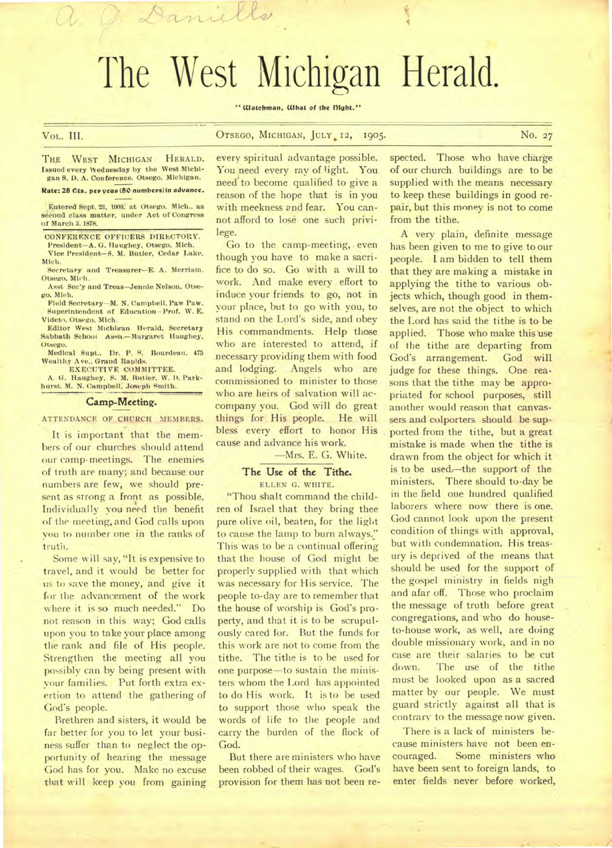# The West Michigan Herald.

" Watchman, What of the Dight."

VoL. III. OTSEGO, MICHIGAN, JULY. 12, 1905. No. 27

THE WEST MICHIGAN HERALD. Issued every Wednesday by the West Michigan S. **D.** A. Conference. Otsego. Michigan.

Daniel

#### **Rate: 25 Cts. pew yeas (50 numbess)in advance.**

Entered Sept. 23, 1903. at Otsego. Mich.. as second class matter, under Act of Congress of March 3.1878.

CONFERENCE OFFICERS DIRLCTORY.

President—A. G. Haughey, Otsego, Mich. Vice President—S. M. Butler, Cedar Lake,

Mich. Secretary and Treasurer—E. A. Merriam. Otsego. Mich.

Asst Sec'y and Treas—Jennie Nelson, Otsego. Mich.

Field Secretary—M. N. Campbell. Paw Paw. Superintendent of Education—Prof. W. E. Videto, Otsego. Mich.

Editor West Michigan Herald, Secretary Sabbath School Assn.—Margaret Haughey, Otsego.

Medical Supt.. Dr. P. S. Rourdeau. 475 Wealthy Ave.. Grand Rapids.

EXECUTIVE COMMITTEE. A. G. Haughey. S. M. Butler. W. **D.** Parkhurst. M. *N.* Campbell, Joseph Smith.

Camp-Meeting.

ATTENDANCE OF CHURCH MEMBERS.

It is important that the members of our churches should attend our camp-meetings. The enemies of truth are many; and because our numbers are few, we should present as strong a front as possible. Individually you need the benefit of the meeting, and God calls upon you to number one in the ranks of truth.

Some will say, "It is expensive to travel, and it would be better for us to save the money, and give it for the advancement of the work where it is so much needed." Do not reason in this way; God calls upon you to take your place among the rank and file of His people. Strengthen the meeting all you possibly can by being present with your families. Put forth extra exertion to attend the gathering of God's people.

Brethren and sisters, it would be far better for you to let your business suffer than to neglect the opportunity of hearing the message God has for you. Make no excuse that will keep you from gaining

every spiritual advantage possible. You need every ray of light. You need to become qualified to give a reason of the hope that is in you with meekness and fear. You cannot afford to lose one such privilege.

Go to the camp-meeting,. even though you have to make a sacrifice to do so. Go with a will to work. And make every effort to induce your friends to go, not in your place, but to go with you, to stand on the Lord's side, and obey His commandments. Help those who are interested to attend, if necessary providing them with food and lodging. Angels who are commissioned to minister to those who are heirs of salvation will accompany you. God will do great things for His people. He will bless every effort to honor His cause and advance his work.

—Mrs. E. G. White.

# **The Use of the Tithe.**

ELLEN G. WHITE.

"Thou shalt command the children of Israel that they bring thee pure olive oil, beaten, for the light to cause the lamp to burn always." This was to be a continual offering that the house of God might be properly supplied with that which was necessary for His service. The people to-day are to remember that the house of worship is God's property, and that it is to be scrupulously cared for. But the funds for this work are not to come from the tithe. The tithe is to be used for one purpose—to sustain the ministers whom the Lord has appointed to do His work. It is to be used to support those who speak the words of life to the people and carry the burden of the flock of God.

But there are ministers who have been robbed of their wages. God's provision for them has not been re-

..•

spected. Those who have charge of our church buildings are to be supplied with the means necessary to keep these buildings in good repair, but this money is not to come from the tithe.

A very plain, definite message has been given to me to give to our people. I am bidden to tell them that they are making a mistake in applying the tithe to various objects which, though good in themselves, are not the object to which the Lord has said the tithe is to be applied. Those who make this'use of the tithe are departing from God's arrangement. God will judge for these things. One reasons that the tithe may be appropriated for school purposes, still another would reason that canvassers and colporters should be supported from the tithe, but a great mistake is made when the tithe is drawn from the object for which it is to be used.—the support of the ministers. There should to-day be in the field one hundred qualified laborers where now there is one. God cannot look upon the present condition of things with approval, but with condemnation. His treasury is deprived of the means that should be used for the support of the gospel ministry in fields nigh and afar off. Those who proclaim the message of truth before great congregations, and who do houseto-house work, as well, are doing double missionary work, and in no case are their salaries to be cut down. The use of the tithe must be looked upon as a sacred matter by our people. We must guard strictly against all that is contrary to the message now given.

There is a lack of ministers because ministers have not been encouraged. Some ministers who have been sent to foreign lands, to enter fields never before worked,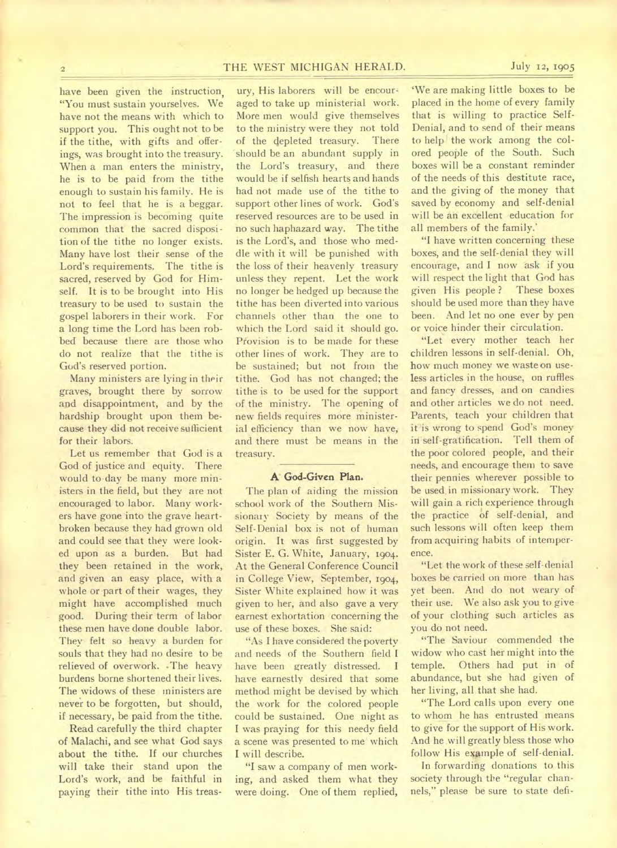have been given the instruction, "You must sustain yourselves. We have not the means with which to support you. This ought not to be if the tithe, with gifts and offerings, was brought into the treasury. When a man enters the ministry, he is to be paid from the tithe enough to sustain his family. He is not to feel that he is a beggar. The impression is becoming quite common that the sacred disposition of the tithe no longer exists. Many have lost their sense of the Lord's requirements. The tithe is sacred, reserved by God for Himself. It is to be brought into His treasury to be used to sustain the gospel laborers in their work. For a long time the Lord has been robbed because there are those who do not realize that the tithe is God's reserved portion.

Many ministers are lying in their graves, brought there by sorrow and disappointment, and by the hardship brought upon them because they did not receive sufficient for their labors.

Let us remember that God is a God of justice and equity. There would to-day be many more ministers in the field, but they are not encouraged to labor. Many workers have gone into the grave heartbroken because they had grown old and could see that they were looked upon as a burden. But had they been retained in the work, and given an easy place, with a whole or part of their wages, they might have accomplished much good. During their term of labor these men have done double labor. They felt so heavy a burden for souls that they had no desire to be relieved of overwork. •The heavy burdens borne shortened their lives. The widows of these ministers are never to be forgotten, but should, if necessary, be paid from the tithe.

Read carefully the third chapter of Malachi, and see what God says about the tithe. If our churches will take their stand upon the Lord's work, and be faithful in paying their tithe into His treas-

ury, His laborers will be encouraged to take up ministerial work. More men would give themselves to the ministry were they not told of the depleted treasury. There should be an abundant supply in the Lord's treasury, and there would be if selfish hearts and hands had not made use of the tithe to support other lines of work. God's reserved resources are to be used in no such haphazard way. The tithe is the Lord's, and those who meddle with it will be punished with the loss of their heavenly treasury unless they repent. Let the work no longer be hedged up because the tithe has been diverted into various channels other than the one to which the Lord said it should go. Pfovision is to be made for these other lines of work. They are to be sustained; but not from the tithe. God has not changed; the tithe is to be used for the support of the ministry. The opening of new fields requires more ministerial efficiency than we now have, and there must be means in the treasury.

# **A' God-Given Plan.**

The plan of aiding the mission school work of the Southern Missionary Society by means of the Self-Denial box is not of human origin. It was first suggested by Sister E. G. White, January, 1904. At the General Conference Council in College View, September, 1904, Sister White explained how it was given to her, and also gave a very earnest exhortation concerning the use of these boxes. She said:

"As I have considered the poverty and needs of the Southern field I have been greatly distressed. I have earnestly desired that some method might be devised by which the work for the colored people could be sustained. One night as I was praying for this needy field a scene was presented to me which I will describe.

"I saw a company of men working, and asked them what they were doing. One of them replied,

`We are making little boxes to be placed in the home of every family that is willing to practice Self-Denial, and to send of their means to help the work among the colored people of the South. Such boxes will be a constant reminder of the needs of this destitute race, and the giving of the money that saved by economy and self-denial will be an excellent education for all members of the family.'

"I have written concerning these boxes, and the self-denial they will encourage, and I now ask if you will respect the light that God has given His people ? These boxes should be used more than they have been. And let no one ever by pen or voice hinder their circulation.

"Let every mother teach her children lessons in self-denial. Oh, how much money we waste on useless articles in the house, on ruffles and fancy dresses, and on candies and other articles we do not need. Parents, teach your children that it is wrong to spend God's money in self-gratification. Tell them of the poor colored people, and their needs, and encourage them to save their pennies wherever possible to be used, in missionary work. They will gain a rich experience through the practice of self-denial, and such lessons will often keep them from acquiring habits of intemperence.

"Let the work of these self-denial boxes be carried on more than has yet been. And do not weary of their use. We also ask you to give of your clothing such articles as you do not need.

"The Saviour commended the widow who cast her might into the temple. Others had put in of abundance, but she had given of her living, all that she had.

"The Lord calls upon every one to whom he has entrusted means to give for the support of His work. And he will greatly bless those who follow His example of self-denial.

In forwarding donations to this society through the "regular channels," please be sure to state defi-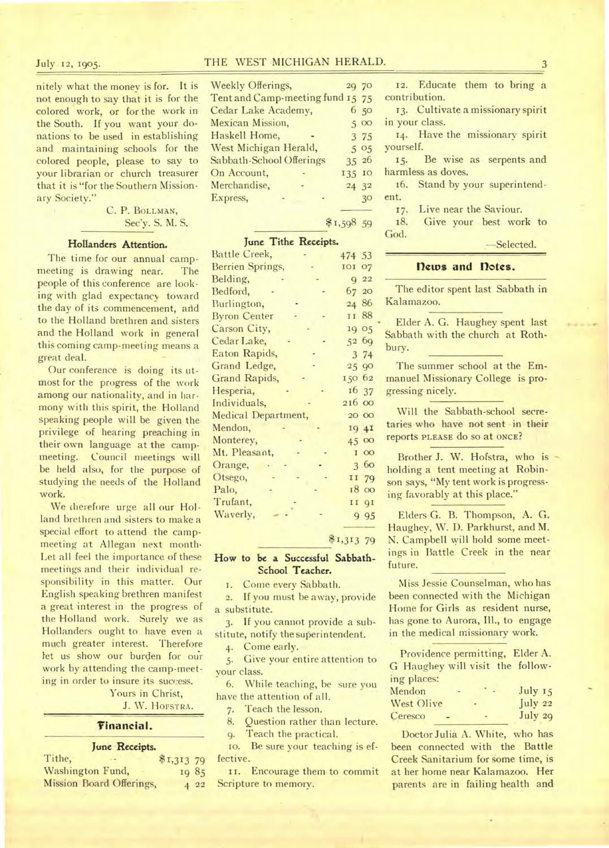nitely what the money is for. It is not enough to say that it is for the colored work, or for the work in the South. If you want your donations to be used in establishing and maintaining schools for the colored people, please to say to your librarian or church treasurer that it is "for the Southern Missionary Society."

> C. P. BOLLMAN, Sec'y. S. M. S.

# Hollanders Attention.

The time for our annual campmeeting is drawing near. The people of this conference are looking with glad expectancy toward the day of its commencement, and to the Holland brethren and sisters and the Holland work in general this coming camp-meeting means a great deal.

Our conference is doing its utmost for the progress of the work among our nationality, and in harmony with this spirit, the Holland speaking people will be given the privilege of hearing preaching in their own language at the campmeeting. Council meetings will be held also, for the purpose of studying the needs of the Holland work.

We therefore urge all our Holland brethren and sisters to make a special effort to attend the campmeeting at Allegan next month-Let all feel the importance of these meetings and their individual responsibility in this matter. Our English speaking brethren manifest a great interest in the progress of the Holland work. Surely we as Hollanders ought to have even a much greater interest. Therefore let us show our burden for our work by attending the camp-meeting in order to insure its success.

> Yours in Christ, J. W. HOFSTRA.

### **'financial.**

| June Receipts.                  |            |  |
|---------------------------------|------------|--|
| Tithe,                          | \$1,313 79 |  |
| Washington Fund,                | 1985       |  |
| <b>Mission Board Offerings,</b> | 422        |  |

| Weekly Offerings,                | 20 70  |      |
|----------------------------------|--------|------|
| Tent and Camp-meeting fund 15 75 |        |      |
| Cedar Lake Academy,              |        | 6 50 |
| Mexican Mission,                 |        | 500  |
| Haskell Home,                    |        | 3 75 |
| West Michigan Herald,            |        | 505  |
| Sabbath-School Offerings         | 35 26  |      |
| On Account,                      | 135 10 |      |
| Merchandise,                     | 24 32  |      |
| Express,                         |        | 30   |
|                                  |        |      |

# **June Tithe Receipts.**

 $$1,59859$ 

| June Title Receipts. |             |
|----------------------|-------------|
| Battle Creek,        | 474 53      |
| Berrien Springs,     | 101 07      |
| Belding,             | $Q$ 22      |
| Bedford,             | 67 20       |
| Burlington,          | 24 86       |
| <b>Byron Center</b>  | II 88       |
| Carson City,         | 19 05       |
| Cedar Lake,          | 52 69       |
| Eaton Rapids,        | 3 74        |
| Grand Ledge,         | 25 90       |
| Grand Rapids,        | 150 62      |
| Hesperia,            | 16 37       |
| Individuals,         | 216 00      |
| Medical Department,  | 20 00       |
| Mendon,              | 19 4I       |
| Monterey,            | 45 00       |
| Mt. Pleasant,        | <b>I</b> 00 |
| Orange,              | 3 60        |
| Otsego,              | II 79       |
| Palo,                | 18 00       |
| Trufant,             | 11 91       |
| Waverly,             | 9 9 5       |
|                      |             |

# \$1,313 79

# How to be a Successful **Sabbath-School Teacher.**

I. Come every Sabbath.

2. If you must be away, provide a substitute.

3. If you cannot provide a substitute, notify the superintendent.

4. Come early.

5. Give your entire attention to your class.

6. While teaching, be sure you have the attention of all.

7. Teach the lesson.

8. Question rather than lecture.

9. Teach the practical.

io. Be sure your teaching is effective.

II. Encourage them to commit Scripture to memory.

12. Educate them to bring a contribution.

13. Cultivate a missionary spirit in your class.

14. Have the missionary spirit yourself.

15. Be wise as serpents and harmless as doves.

16. Stand by your superintendent.

17. Live near the Saviour.

18. Give your best work to God.

## -Selected.

# **flews and notes.**

The editor spent last Sabbath in Kalamazoo.

Elder A. G. Haughey spent last Sabbath with the church at Rothbury.

The summer school at the Emmanuel Missionary College is progressing nicely.

Will the Sabbath-school secretaries who have not sent in their reports PLEASE do SO at ONCE?

Brother J. W. Hofstra, who is holding a tent meeting at Robinson says, "My tent work is progressing favorably at this place."

Elders G. B. Thompson, A. G. Haughey, W. D. Parkhurst, and M. N. Campbell will hold some meetings in Battle Creek in the near future.

Miss Jessie Counselman, who has been connected with the Michigan Home for Girls as resident nurse, has gone to Aurora, Ill., to engage in the medical missionary work.

Providence permitting, Elder A. G Haughey will visit the follow. ing places:

| Mendon     |   | July $15$     |
|------------|---|---------------|
| West Olive | ۰ | $\int$ uly 22 |
| Ceresco    |   | July 29       |

Doctor Julia A. White, who has been connected with the Battle Creek Sanitarium for some time, is at her home near Kalamazoo. Her parents are in failing health and

# July 12, 1905. THE WEST MICHIGAN HERALD. 3